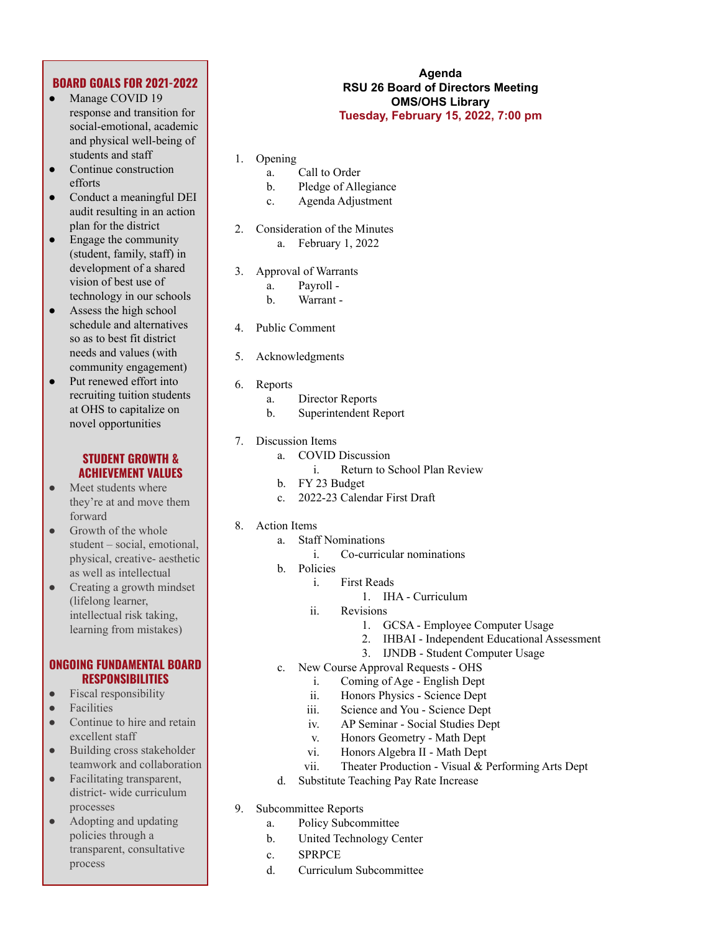# **BOARD GOALS FOR 2021-2022**

- Manage COVID 19 response and transition for social-emotional, academic and physical well-being of students and staff
- Continue construction efforts
- Conduct a meaningful DEI audit resulting in an action plan for the district
- Engage the community (student, family, staff) in development of a shared vision of best use of technology in our schools
- $\bullet$  Assess the high school schedule and alternatives so as to best fit district needs and values (with community engagement)
- Put renewed effort into recruiting tuition students at OHS to capitalize on novel opportunities

# **STUDENT GROWTH & ACHIEVEMENT VALUES**

- Meet students where they're at and move them forward
- Growth of the whole student – social, emotional, physical, creative- aesthetic as well as intellectual
- Creating a growth mindset (lifelong learner, intellectual risk taking, learning from mistakes)

### **ONGOING FUNDAMENTAL BOARD RESPONSIBILITIES**

- Fiscal responsibility
- **Facilities**
- Continue to hire and retain excellent staff
- Building cross stakeholder teamwork and collaboration
- Facilitating transparent, district- wide curriculum processes
- Adopting and updating policies through a transparent, consultative process

#### **Agenda RSU 26 Board of Directors Meeting OMS/OHS Library Tuesday, February 15, 2022, 7:00 pm**

- 1. Opening
	- a. Call to Order
	- b. Pledge of Allegiance
	- c. Agenda Adjustment
- 2. Consideration of the Minutes a. February 1, 2022
- 3. Approval of Warrants
	- a. Payroll -
	- b. Warrant -
- 4. Public Comment
- 5. Acknowledgments
- 6. Reports
	- a. Director Reports
	- b. Superintendent Report
- 7. Discussion Items
	- a. COVID Discussion
		- i. Return to School Plan Review
	- b. FY 23 Budget
	- c. 2022-23 Calendar First Draft
- 8. Action Items
	- a. Staff Nominations
		- i. Co-curricular nominations
	- b. Policies
		- i. First Reads
			- 1. IHA Curriculum
		- ii. Revisions
			- 1. GCSA Employee Computer Usage
				- 2. IHBAI Independent Educational Assessment
				- 3. IJNDB Student Computer Usage
	- c. New Course Approval Requests OHS
		- i. Coming of Age English Dept
		- ii. Honors Physics Science Dept
		- iii. Science and You Science Dept
		- iv. AP Seminar Social Studies Dept
		- v. Honors Geometry Math Dept
		- vi. Honors Algebra II Math Dept
		- vii. Theater Production Visual & Performing Arts Dept
	- d. Substitute Teaching Pay Rate Increase
- 9. Subcommittee Reports
	- a. Policy Subcommittee
	- b. United Technology Center
	- c. SPRPCE
	- d. Curriculum Subcommittee